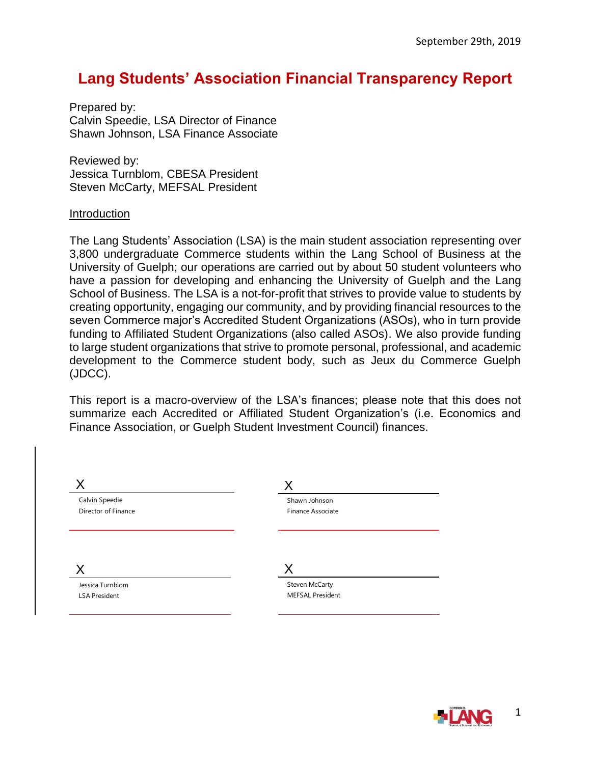## **Lang Students' Association Financial Transparency Report**

Prepared by: Calvin Speedie, LSA Director of Finance Shawn Johnson, LSA Finance Associate

Reviewed by: Jessica Turnblom, CBESA President Steven McCarty, MEFSAL President

#### Introduction

The Lang Students' Association (LSA) is the main student association representing over 3,800 undergraduate Commerce students within the Lang School of Business at the University of Guelph; our operations are carried out by about 50 student volunteers who have a passion for developing and enhancing the University of Guelph and the Lang School of Business. The LSA is a not-for-profit that strives to provide value to students by creating opportunity, engaging our community, and by providing financial resources to the seven Commerce major's Accredited Student Organizations (ASOs), who in turn provide funding to Affiliated Student Organizations (also called ASOs). We also provide funding to large student organizations that strive to promote personal, professional, and academic development to the Commerce student body, such as Jeux du Commerce Guelph (JDCC).

This report is a macro-overview of the LSA's finances; please note that this does not summarize each Accredited or Affiliated Student Organization's (i.e. Economics and Finance Association, or Guelph Student Investment Council) finances.

| Calvin Speedie      | Shawn Johnson     |  |
|---------------------|-------------------|--|
| Director of Finance | Finance Associate |  |
|                     |                   |  |
|                     |                   |  |
| Jessica Turnblom    | Steven McCarty    |  |

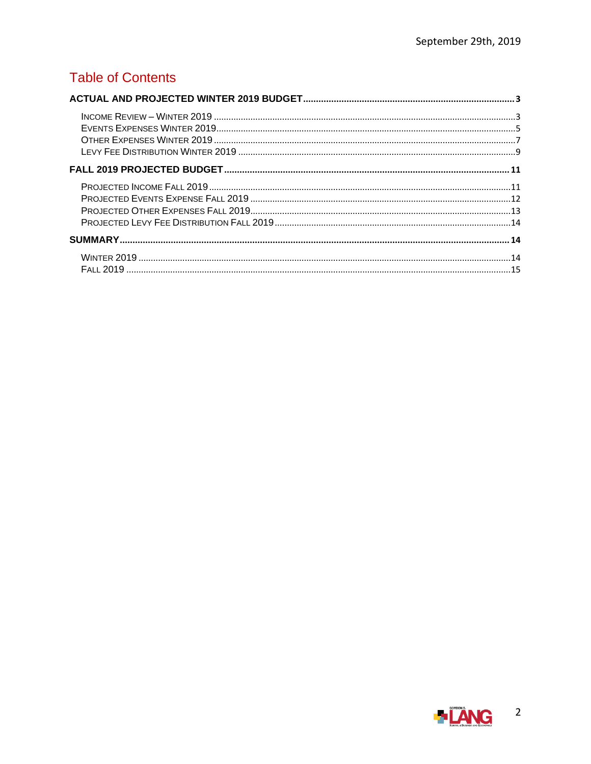### **Table of Contents**

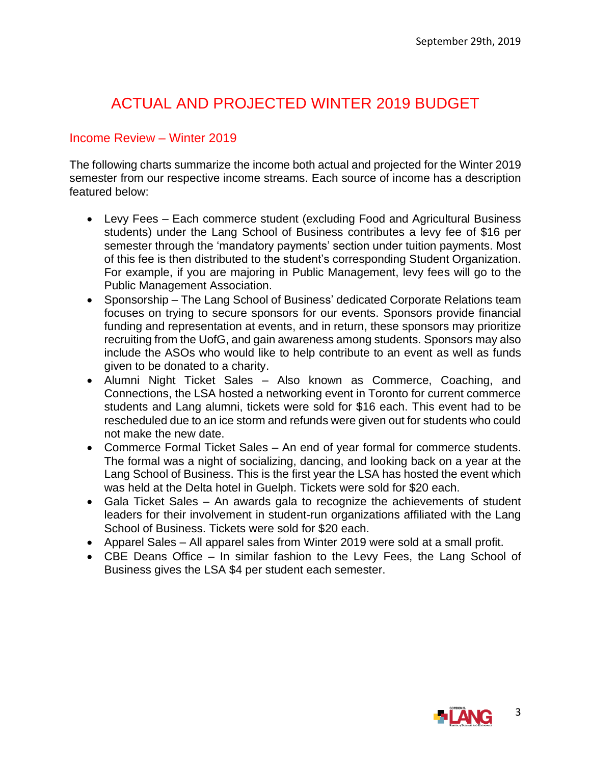# <span id="page-2-0"></span>ACTUAL AND PROJECTED WINTER 2019 BUDGET

#### <span id="page-2-1"></span>Income Review – Winter 2019

The following charts summarize the income both actual and projected for the Winter 2019 semester from our respective income streams. Each source of income has a description featured below:

- Levy Fees Each commerce student (excluding Food and Agricultural Business students) under the Lang School of Business contributes a levy fee of \$16 per semester through the 'mandatory payments' section under tuition payments. Most of this fee is then distributed to the student's corresponding Student Organization. For example, if you are majoring in Public Management, levy fees will go to the Public Management Association.
- Sponsorship The Lang School of Business' dedicated Corporate Relations team focuses on trying to secure sponsors for our events. Sponsors provide financial funding and representation at events, and in return, these sponsors may prioritize recruiting from the UofG, and gain awareness among students. Sponsors may also include the ASOs who would like to help contribute to an event as well as funds given to be donated to a charity.
- Alumni Night Ticket Sales Also known as Commerce, Coaching, and Connections, the LSA hosted a networking event in Toronto for current commerce students and Lang alumni, tickets were sold for \$16 each. This event had to be rescheduled due to an ice storm and refunds were given out for students who could not make the new date.
- Commerce Formal Ticket Sales An end of year formal for commerce students. The formal was a night of socializing, dancing, and looking back on a year at the Lang School of Business. This is the first year the LSA has hosted the event which was held at the Delta hotel in Guelph. Tickets were sold for \$20 each.
- Gala Ticket Sales An awards gala to recognize the achievements of student leaders for their involvement in student-run organizations affiliated with the Lang School of Business. Tickets were sold for \$20 each.
- Apparel Sales All apparel sales from Winter 2019 were sold at a small profit.
- CBE Deans Office In similar fashion to the Levy Fees, the Lang School of Business gives the LSA \$4 per student each semester.

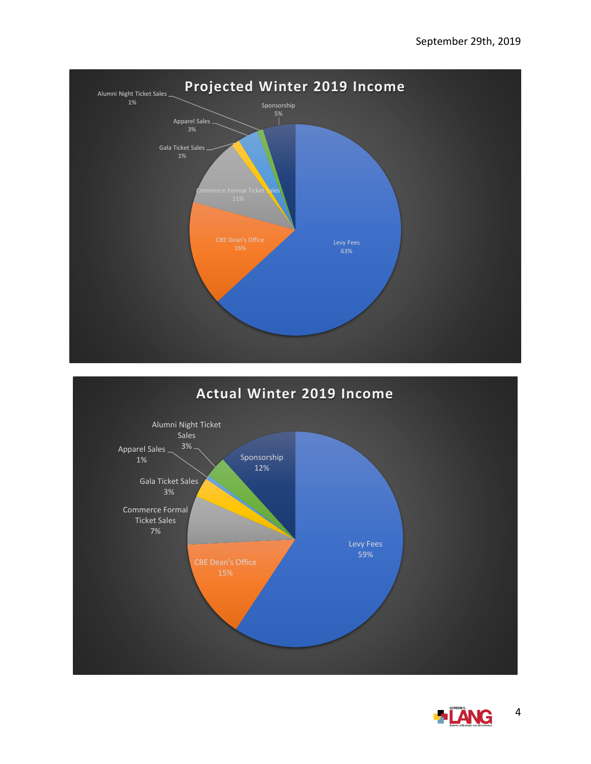



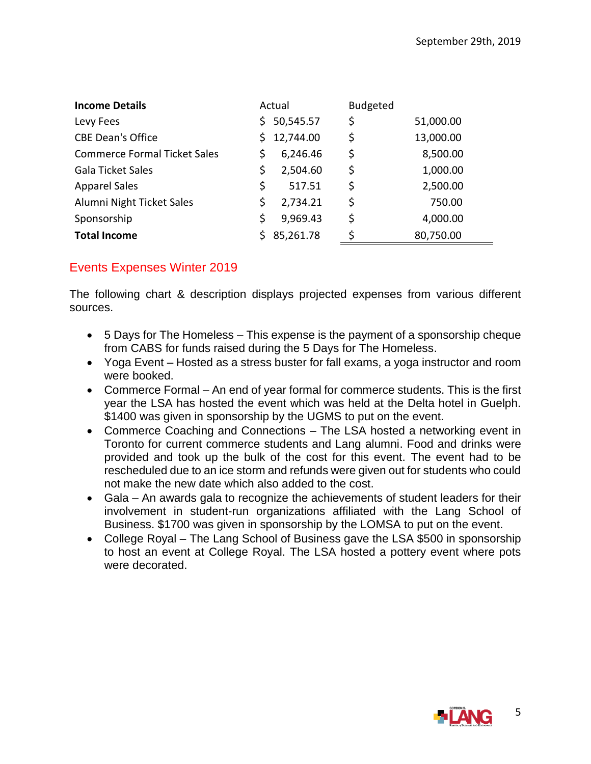| <b>Income Details</b>               |    | Actual    | <b>Budgeted</b> |           |
|-------------------------------------|----|-----------|-----------------|-----------|
| Levy Fees                           | S. | 50,545.57 | \$              | 51,000.00 |
| <b>CBE Dean's Office</b>            | S. | 12,744.00 | \$              | 13,000.00 |
| <b>Commerce Formal Ticket Sales</b> | S  | 6,246.46  | \$              | 8,500.00  |
| Gala Ticket Sales                   | \$ | 2,504.60  | \$              | 1,000.00  |
| <b>Apparel Sales</b>                | \$ | 517.51    | \$              | 2,500.00  |
| Alumni Night Ticket Sales           | \$ | 2,734.21  | \$              | 750.00    |
| Sponsorship                         | \$ | 9,969.43  | \$              | 4,000.00  |
| <b>Total Income</b>                 |    | 85,261.78 | ς               | 80,750.00 |

### <span id="page-4-0"></span>Events Expenses Winter 2019

The following chart & description displays projected expenses from various different sources.

- 5 Days for The Homeless This expense is the payment of a sponsorship cheque from CABS for funds raised during the 5 Days for The Homeless.
- Yoga Event Hosted as a stress buster for fall exams, a yoga instructor and room were booked.
- Commerce Formal An end of year formal for commerce students. This is the first year the LSA has hosted the event which was held at the Delta hotel in Guelph. \$1400 was given in sponsorship by the UGMS to put on the event.
- Commerce Coaching and Connections The LSA hosted a networking event in Toronto for current commerce students and Lang alumni. Food and drinks were provided and took up the bulk of the cost for this event. The event had to be rescheduled due to an ice storm and refunds were given out for students who could not make the new date which also added to the cost.
- Gala An awards gala to recognize the achievements of student leaders for their involvement in student-run organizations affiliated with the Lang School of Business. \$1700 was given in sponsorship by the LOMSA to put on the event.
- College Royal The Lang School of Business gave the LSA \$500 in sponsorship to host an event at College Royal. The LSA hosted a pottery event where pots were decorated.

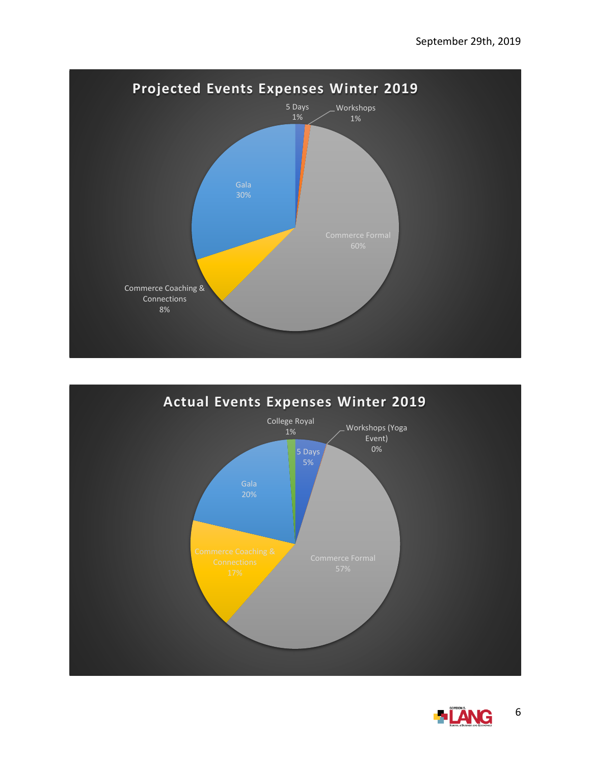



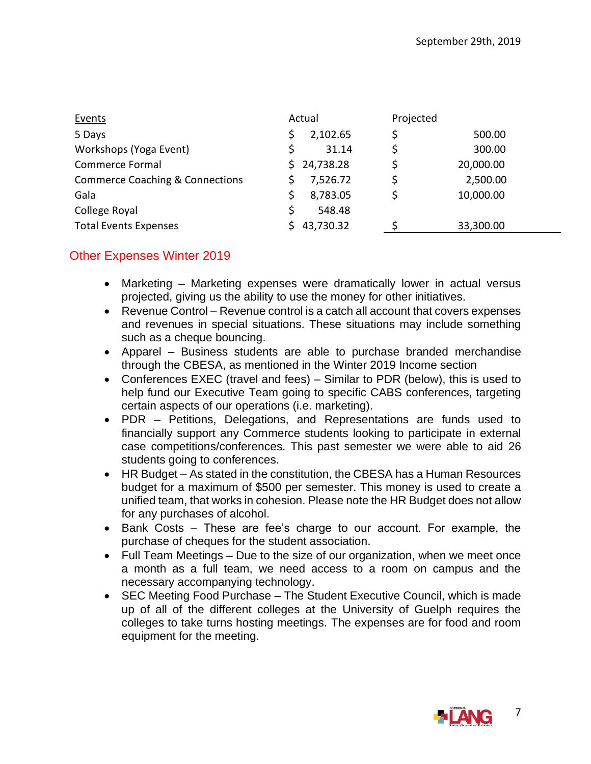| Events                                     |    | Actual    | Projected |           |
|--------------------------------------------|----|-----------|-----------|-----------|
| 5 Days                                     |    | 2,102.65  |           | 500.00    |
| Workshops (Yoga Event)                     |    | 31.14     |           | 300.00    |
| Commerce Formal                            | S. | 24,738.28 |           | 20,000.00 |
| <b>Commerce Coaching &amp; Connections</b> |    | 7,526.72  |           | 2,500.00  |
| Gala                                       |    | 8,783.05  |           | 10,000.00 |
| College Royal                              |    | 548.48    |           |           |
| <b>Total Events Expenses</b>               |    | 43,730.32 |           | 33,300.00 |

### <span id="page-6-0"></span>Other Expenses Winter 2019

- Marketing Marketing expenses were dramatically lower in actual versus projected, giving us the ability to use the money for other initiatives.
- Revenue Control Revenue control is a catch all account that covers expenses and revenues in special situations. These situations may include something such as a cheque bouncing.
- Apparel Business students are able to purchase branded merchandise through the CBESA, as mentioned in the Winter 2019 Income section
- Conferences EXEC (travel and fees) Similar to PDR (below), this is used to help fund our Executive Team going to specific CABS conferences, targeting certain aspects of our operations (i.e. marketing).
- PDR Petitions, Delegations, and Representations are funds used to financially support any Commerce students looking to participate in external case competitions/conferences. This past semester we were able to aid 26 students going to conferences.
- HR Budget As stated in the constitution, the CBESA has a Human Resources budget for a maximum of \$500 per semester. This money is used to create a unified team, that works in cohesion. Please note the HR Budget does not allow for any purchases of alcohol.
- Bank Costs These are fee's charge to our account. For example, the purchase of cheques for the student association.
- Full Team Meetings Due to the size of our organization, when we meet once a month as a full team, we need access to a room on campus and the necessary accompanying technology.
- SEC Meeting Food Purchase The Student Executive Council, which is made up of all of the different colleges at the University of Guelph requires the colleges to take turns hosting meetings. The expenses are for food and room equipment for the meeting.

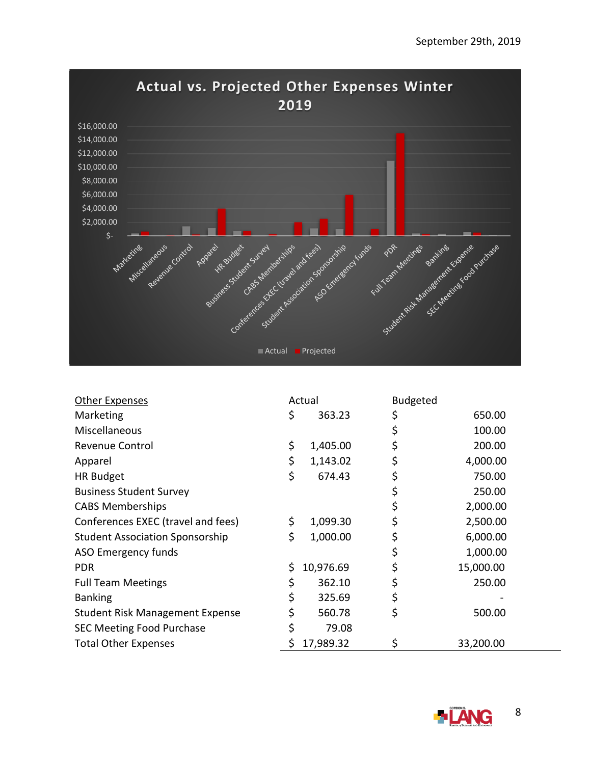

| Other Expenses                         | Actual          | <b>Budgeted</b> |           |
|----------------------------------------|-----------------|-----------------|-----------|
| Marketing                              | \$<br>363.23    | \$              | 650.00    |
| Miscellaneous                          |                 | \$              | 100.00    |
| <b>Revenue Control</b>                 | \$<br>1,405.00  | \$              | 200.00    |
| Apparel                                | \$<br>1,143.02  | \$              | 4,000.00  |
| <b>HR Budget</b>                       | \$<br>674.43    | \$              | 750.00    |
| <b>Business Student Survey</b>         |                 | \$              | 250.00    |
| <b>CABS Memberships</b>                |                 | \$              | 2,000.00  |
| Conferences EXEC (travel and fees)     | \$<br>1,099.30  | \$              | 2,500.00  |
| <b>Student Association Sponsorship</b> | \$<br>1,000.00  | \$              | 6,000.00  |
| ASO Emergency funds                    |                 | \$              | 1,000.00  |
| <b>PDR</b>                             | \$<br>10,976.69 | \$              | 15,000.00 |
| <b>Full Team Meetings</b>              | \$<br>362.10    | \$              | 250.00    |
| <b>Banking</b>                         | \$<br>325.69    | \$              |           |
| <b>Student Risk Management Expense</b> | \$<br>560.78    | \$              | 500.00    |
| <b>SEC Meeting Food Purchase</b>       | \$<br>79.08     |                 |           |
| <b>Total Other Expenses</b>            | 17,989.32       | \$              | 33,200.00 |

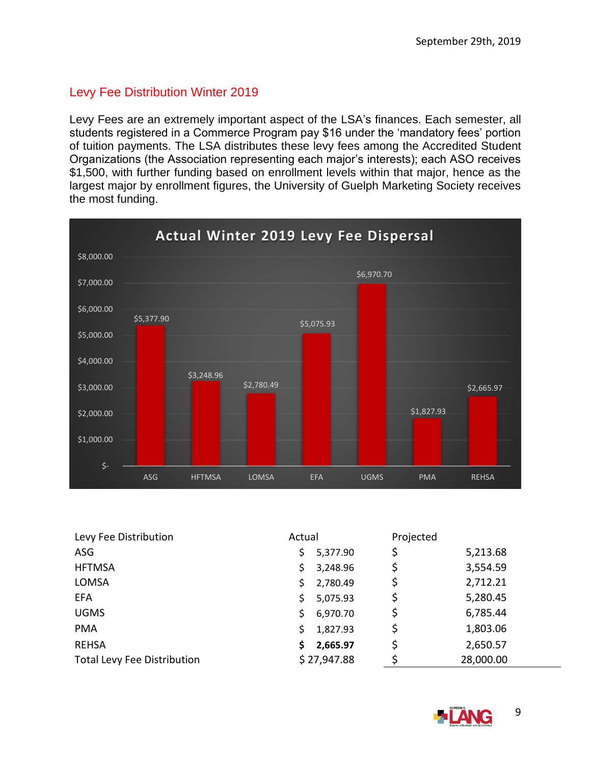### <span id="page-8-0"></span>Levy Fee Distribution Winter 2019

Levy Fees are an extremely important aspect of the LSA's finances. Each semester, all students registered in a Commerce Program pay \$16 under the 'mandatory fees' portion of tuition payments. The LSA distributes these levy fees among the Accredited Student Organizations (the Association representing each major's interests); each ASO receives \$1,500, with further funding based on enrollment levels within that major, hence as the largest major by enrollment figures, the University of Guelph Marketing Society receives the most funding.



| Levy Fee Distribution              | Actual         | Projected |           |
|------------------------------------|----------------|-----------|-----------|
| ASG                                | 5,377.90<br>\$ | \$        | 5,213.68  |
| <b>HFTMSA</b>                      | 3,248.96<br>Ś  | \$        | 3,554.59  |
| LOMSA                              | 2,780.49<br>Ś  | \$        | 2,712.21  |
| <b>EFA</b>                         | 5,075.93<br>Ś. | \$        | 5,280.45  |
| <b>UGMS</b>                        | 6,970.70<br>Ś. | \$        | 6,785.44  |
| <b>PMA</b>                         | 1,827.93<br>Ś. | \$        | 1,803.06  |
| <b>REHSA</b>                       | 2,665.97<br>S  | \$        | 2,650.57  |
| <b>Total Levy Fee Distribution</b> | \$27,947.88    | Ś         | 28,000.00 |

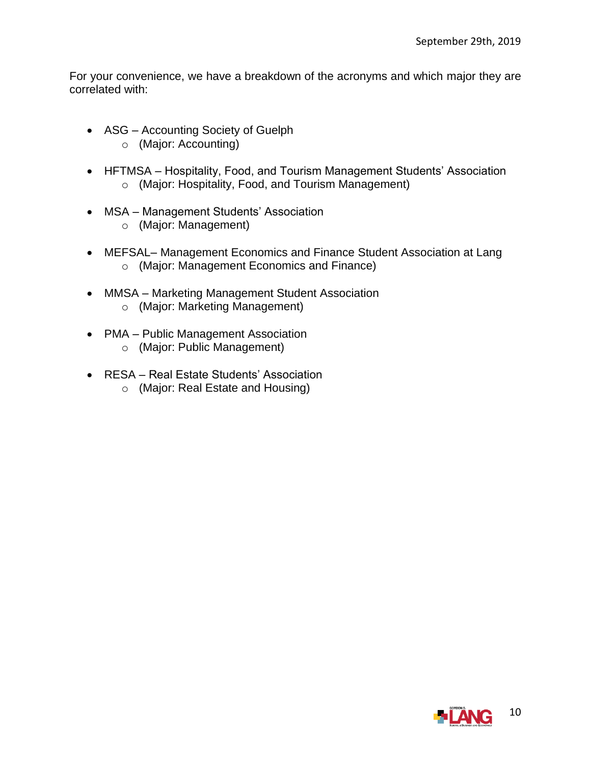For your convenience, we have a breakdown of the acronyms and which major they are correlated with:

- ASG Accounting Society of Guelph o (Major: Accounting)
- HFTMSA Hospitality, Food, and Tourism Management Students' Association o (Major: Hospitality, Food, and Tourism Management)
- MSA Management Students' Association
	- o (Major: Management)
- MEFSAL– Management Economics and Finance Student Association at Lang o (Major: Management Economics and Finance)
- MMSA Marketing Management Student Association o (Major: Marketing Management)
- PMA Public Management Association o (Major: Public Management)
	-
- RESA Real Estate Students' Association
	- o (Major: Real Estate and Housing)

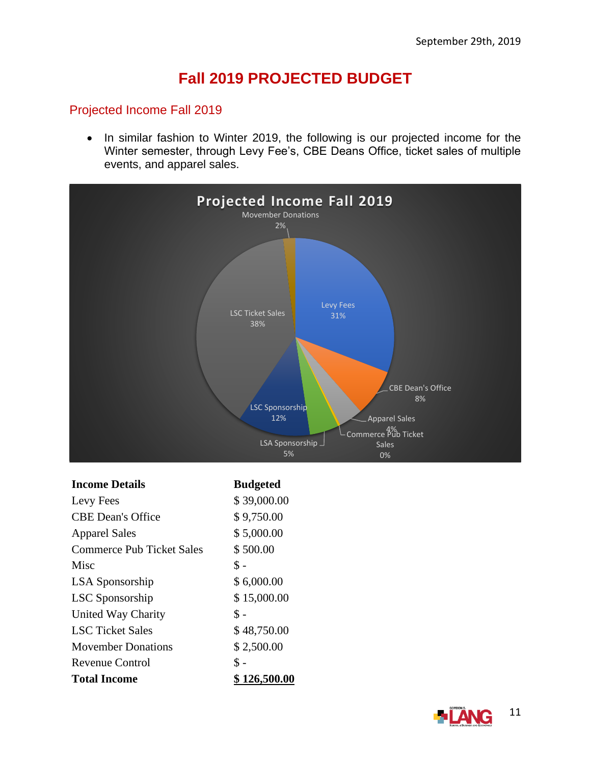# **Fall 2019 PROJECTED BUDGET**

### <span id="page-10-1"></span><span id="page-10-0"></span>Projected Income Fall 2019

• In similar fashion to Winter 2019, the following is our projected income for the Winter semester, through Levy Fee's, CBE Deans Office, ticket sales of multiple events, and apparel sales.



#### **Income Details Budgeted**

| Levy Fees                        | \$39,000.00  |
|----------------------------------|--------------|
| <b>CBE</b> Dean's Office         | \$9,750.00   |
| <b>Apparel Sales</b>             | \$5,000.00   |
| <b>Commerce Pub Ticket Sales</b> | \$500.00     |
| Misc                             | \$ -         |
| <b>LSA</b> Sponsorship           | \$6,000.00   |
| <b>LSC</b> Sponsorship           | \$15,000.00  |
| United Way Charity               | \$ -         |
| <b>LSC</b> Ticket Sales          | \$48,750.00  |
| <b>Movember Donations</b>        | \$2,500.00   |
| Revenue Control                  | \$ -         |
| Total Income                     | \$ 126,500.0 |

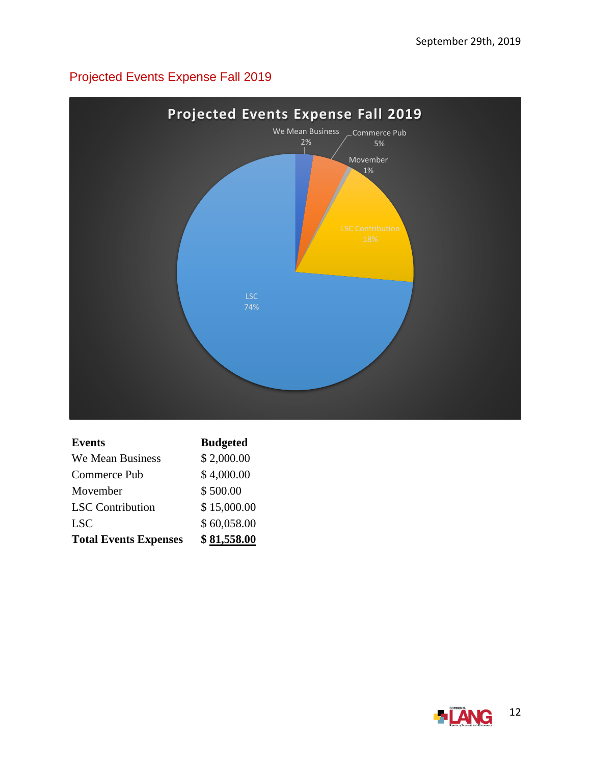# <span id="page-11-0"></span>Projected Events Expense Fall 2019



| Events                       | <b>Budgeted</b> |
|------------------------------|-----------------|
| We Mean Business             | \$2,000.00      |
| Commerce Pub                 | \$4,000.00      |
| Movember                     | \$500.00        |
| <b>LSC</b> Contribution      | \$15,000.00     |
| <b>LSC</b>                   | \$60,058.00     |
| <b>Total Events Expenses</b> | \$81,558.00     |

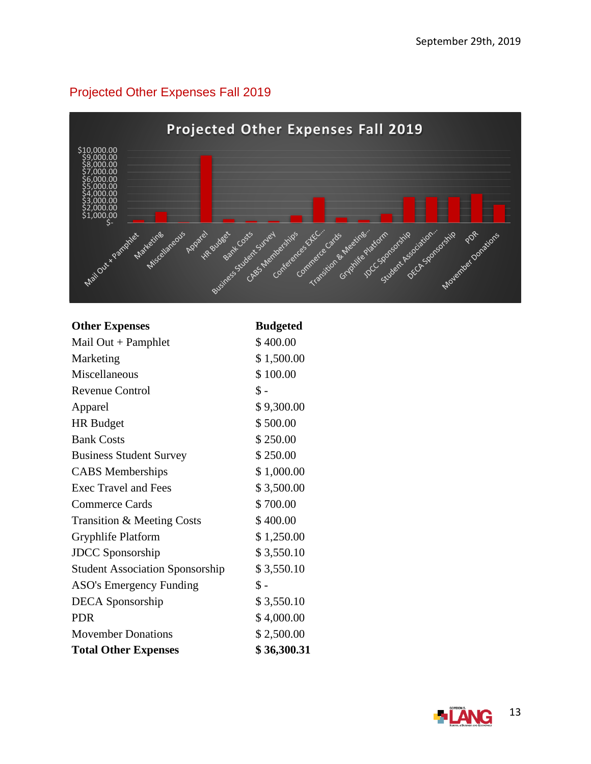### <span id="page-12-0"></span>Projected Other Expenses Fall 2019



#### **Other Expenses Budgeted**

| Mail $Out + Pamphlet$                  | \$400.00       |
|----------------------------------------|----------------|
| Marketing                              | \$1,500.00     |
| Miscellaneous                          | \$100.00       |
| <b>Revenue Control</b>                 | $\$ -          |
| Apparel                                | \$9,300.00     |
| <b>HR</b> Budget                       | \$500.00       |
| <b>Bank Costs</b>                      | \$250.00       |
| <b>Business Student Survey</b>         | \$250.00       |
| <b>CABS</b> Memberships                | \$1,000.00     |
| <b>Exec Travel and Fees</b>            | \$3,500.00     |
| <b>Commerce Cards</b>                  | \$700.00       |
| Transition & Meeting Costs             | \$400.00       |
| Gryphlife Platform                     | \$1,250.00     |
| <b>JDCC</b> Sponsorship                | \$3,550.10     |
| <b>Student Association Sponsorship</b> | \$3,550.10     |
| <b>ASO's Emergency Funding</b>         | $\mathbb{S}$ - |
| <b>DECA</b> Sponsorship                | \$3,550.10     |
| <b>PDR</b>                             | \$4,000.00     |
| <b>Movember Donations</b>              | \$2,500.00     |
| <b>Total Other Expenses</b>            | \$36,300.31    |

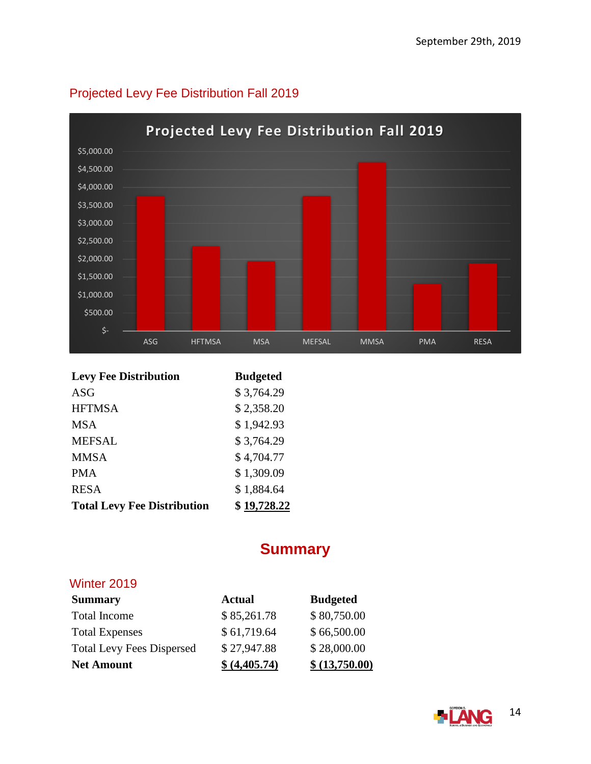

# <span id="page-13-0"></span>Projected Levy Fee Distribution Fall 2019

| <b>Levy Fee Distribution</b>       | <b>Budgeted</b> |
|------------------------------------|-----------------|
| <b>ASG</b>                         | \$3,764.29      |
| <b>HFTMSA</b>                      | \$2,358.20      |
| <b>MSA</b>                         | \$1,942.93      |
| <b>MEFSAL</b>                      | \$3,764.29      |
| <b>MMSA</b>                        | \$4,704.77      |
| <b>PMA</b>                         | \$1,309.09      |
| <b>RESA</b>                        | \$1,884.64      |
| <b>Total Levy Fee Distribution</b> | \$19,728.22     |

# **Summary**

### <span id="page-13-2"></span><span id="page-13-1"></span>Winter 2019

| <b>Summary</b>                   | <b>Actual</b> | <b>Budgeted</b> |
|----------------------------------|---------------|-----------------|
| <b>Total Income</b>              | \$85,261.78   | \$80,750.00     |
| <b>Total Expenses</b>            | \$61,719.64   | \$66,500.00     |
| <b>Total Levy Fees Dispersed</b> | \$27,947.88   | \$28,000.00     |
| <b>Net Amount</b>                | \$ (4,405.74) | \$ (13,750.00)  |